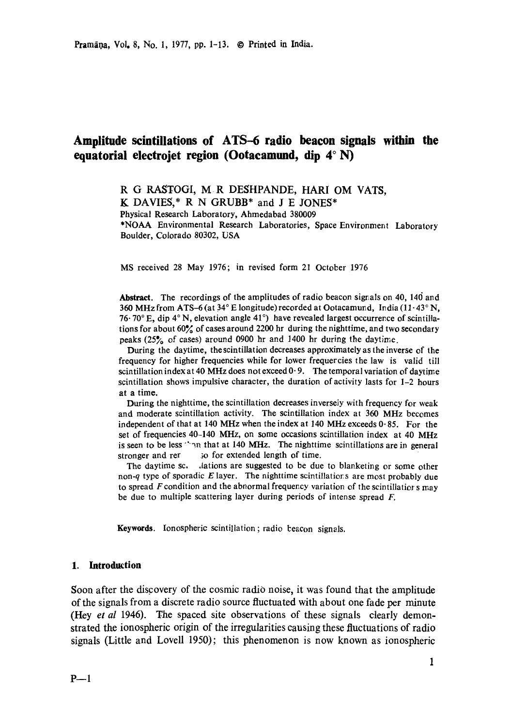# **Amplitude scintillations of ATS-6 radio beacon signals within the equatorial electrojet region (Ootacamund, dip 4°N)**

**R G RASTOGI, M R DESHPANDE, HARI OM VATS, K DAVIES,\* R N GRUBB\* and J E JONES\***  Physical Research Laboratory, Ahmedabad 380009 \*NOAA Environmental Research Laboratories, Space Environment Laboratory Boulder, Colorado 80302, **USA** 

MS received 28 May 1976; in revised form 21 October 1976

**Abstract.** The recordings of the amplitudes of radio beacon signals on 40, 140 and 360 MHz from ATS-6 (at  $34^{\circ}$  E longitude) recorded at Ootacamund, India (11 $\cdot$ 43 $\circ$  N, 76 $\cdot$  70 $\degree$  E, dip 4 $\degree$  N, elevation angle 41 $\degree$ ) have revealed largest occurrence of scintillations for about  $60\%$  of cases around 2200 hr during the nighttime, and two secondary peaks (25~'o of cases) around 0900 hr and 1400 hr during the daytime.

During the daytime, the scintillation decreases approximately as the inverse of the frequency for higher frequencies while for lower frequercies the law is valid till scintillation index at 40 MHz does not exceed  $0.9$ . The temporal variation of daytime scintillation shows impulsive character, the duration of activity lasts for 1-2 hours at a time.

During the nighttime, the scintillation decreases inverseiy with frequency for weak and moderate scintillation activity. The scintillation index at 360 MHz becomes independent of that at 140 MHz when the index at 140 MHz exceeds  $0.85$ . For the set of frequencies 40-140 MHz, on some occasions scintillation index at 40 MHz is seen to be less "on that at 140 MHz. The nighttime scintillations are in general stronger and rer  $\qquad$  so for extended length of time.

The daytime sc. ...lations are suggested to be due to blanketing or some other non- $q$  type of sporadic  $E$  layer. The nighttime scintillations are most probably due to spread  $F$  condition and the abnormal frequency variation of the scintillatior  $s$  may be due to multiple scattering layer during periods of intense spread F.

Keywords. Ionospheric scintillation; radio beacon signals.

## **1. Introduction**

Soon after the discovery of the cosmic radio noise, it was found that the amplitude of the signals from a discrete radio source fluctuated with about one fade per minute (Hey *et al* 1946). The spaced site observations of these signals clearly demonstrated the ionospheric origin of the irregularities causing these fluctuations of radio signals (Little and Lovell 1950); this phenomenon is now known as ionospheric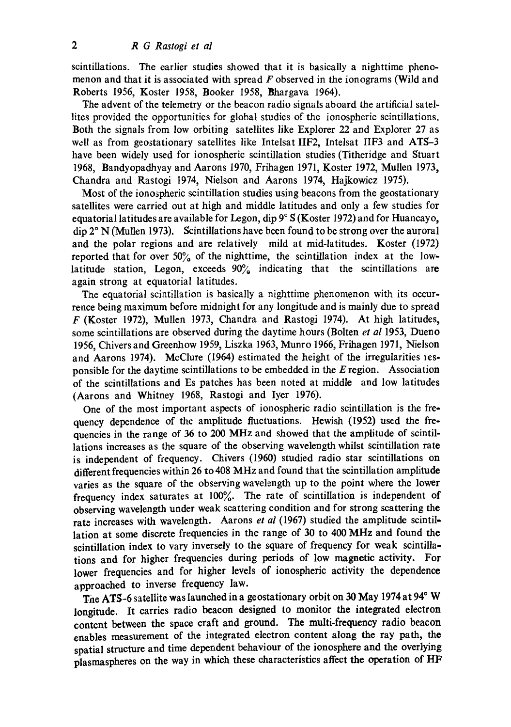scintillations. The earlier studies showed that it is basically a nighttime phenomenon and that it is associated with spread  $\vec{F}$  observed in the ionograms (Wild and Roberts 1956, Koster 1958, Booker 1958, Bhargava 1964).

The advent of the telemetry or the beacon radio signals aboard the artificial satellites provided the opportunities for global studies of the ionospheric scintillations. Both the signals from low orbiting satellites like Explorer 22 and Explorer 27 as well as from geostationary satellites like Intelsat IIF2, Intelsat IIF3 and ATS-3 have been widely used for ionospheric scintillation studies (Titheridge and Stuart 1968, Bandyopadhyay and Aarons 1970, Frihagen 1971, Koster 1972, Mullen 1973, Chandra and Rastogi 1974, Nielson and Aarons 1974, Hajkowicz 1975).

Most of the ionospheric scintillation studies using beacons from the geostationary satellites were carried out at high and middle latitudes and only a few studies for equatorial latitudes are available for Legon, dip  $9^{\circ}$  S (Koster 1972) and for Huancayo,  $\text{dip } 2^{\circ}$  N (Mullen 1973). Scintillations have been found to be strong over the auroral and the polar regions and are relatively mild at mid-latitudes. Koster (1972) reported that for over  $50\%$  of the nighttime, the scintillation index at the lowlatitude station, Legon, exceeds  $90\%$  indicating that the scintillations are again strong at equatorial latitudes.

The equatorial scintillation is basically a nighttime phenomenon with its occurrence being maximum before midnight for any longitude and is mainly due to spread  $F$  (Koster 1972), Mullen 1973, Chandra and Rastogi 1974). At high latitudes, some scintillations are observed during the daytime hours (Bolten *et al* 1953, Dueno 1956, Chivers and Greenhow 1959, Liszka 1963, Munro 1966, Frihagen 1971, Nielson and Aarons 1974). McClure (1964) estimated the height of the irregularities lesponsible for the daytime scintillations to be embedded in the E region. Association of the scintillations and Es patches has been noted at middle and low latitudes (Aarons and Whitney 1968, Rastogi and Iyer 1976).

One of the most important aspects of ionospheric radio scintillation is the frequency dependence of the amplitude fluctuations. Hewish (1952) used the frequencies in the range of 36 to 200 MHz and showed that the amplitude of scintillations increases as the square of the observing wavelength whilst scintillation rate is independent of frequency. Chivers (1960) studied radio star scintillations on different frequencies within 26 to 408 MHz and found that the scintillation amplitude varies as the square of the observing wavelength up to the point where the lower frequency index saturates at  $100\%$ . The rate of scintillation is independent of observing wavelength under weak scattering condition and for strong scattering the rate increases with wavelength. Aarons *et al* (1967) studied the amplitude scintillation at some discrete frequencies in the range of 30 to 400 MHz and found the scintillation index to vary inversely to the square of frequency for weak scintillations and for higher frequencies during periods of low magnetic activity. For lower frequencies and for higher levels of ionospheric activity the dependence approached to inverse frequency law.

The ATS-6 satellite was launched in a geostationary orbit on 30 May 1974 at 94° W longitude. It carries radio beacon designed to monitor the integrated electron content between the space craft and ground. The multi-frequency radio beacon enables measurement of the integrated electron content along the ray path, the spatial structure and time dependent behaviour of the ionosphere and the overlying plasmaspheres on the way in which these characteristics affect the operation of HF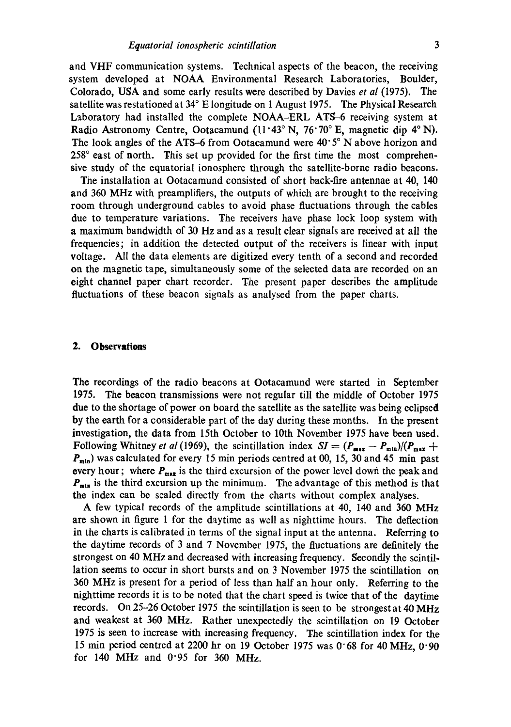and VHF communication systems. Technical aspects of the beacon, the receiving system developed at NOAA Environmental Research Laboratories, Boulder, Colorado, USA and some early results were described by Davies *et al* (1975). The satellite was restationed at  $34^{\circ}$  E longitude on 1 August 1975. The Physical Research Laboratory had installed the complete NOAA-ERL ATS-6 receiving system at Radio Astronomy Centre, Ootacamund  $(11.43^\circ \text{ N}, 76.70^\circ \text{ E}, \text{ magnetic dip } 4^\circ \text{ N}).$ The look angles of the ATS-6 from Ootacamund were  $40.5^\circ$  N above horizon and  $258^\circ$  east of north. This set up provided for the first time the most comprehensive study of the equatorial ionosphere through the satellite-borne radio beacons.

The installation at Ootacamund consisted of short back-fire antennae at 40, 140 and 360 MHz with preamplifiers, the outputs of which are brought to the receiving room through underground cables to avoid phase fluctuations through the cables due to temperature variations. The receivers have phase lock loop system with a maximum bandwidth of 30 Hz and as a result clear signals are received at all the frequencies; in addition the detected output of the receivers is linear with input voltage. All the data elements are digitized every tenth of a second and recorded on the magnetic tape, simultaneously some of the selected data are recorded on an eight channel paper chart recorder. The present paper describes the amplitude fluctuations of these beacon signals as analysed from the paper charts.

#### **2. Observations**

The recordings of the radio beacons at Ootacamund were started in September 1975. The beacon transmissions were not regular till the middle of October 1975 due to the shortage of power on board the satellite as the satellite was being eclipsed by the earth for a considerable part of the day during these months. In the present investigation, the data from 15th October to 10th November 1975 have been used. Following Whitney *et al* (1969), the scintillation index  $SI = (P_{\text{max}} - P_{\text{min}})/(P_{\text{max}} +$  $P_{\text{min}}$ ) was calculated for every 15 min periods centred at 00, 15, 30 and 45 min past every hour; where  $P_{max}$  is the third excursion of the power level down the peak and  $P_{min}$  is the third excursion up the minimum. The advantage of this method is that the index can be scaled directly from the charts without complex analyses.

A few typical records of the amplitude scintillations at 40, 140 and 360 MHz are shown in figure 1 for the daytime as well as nighttime hours. The deflection in the charts is calibrated in terms of the signal input at the antenna. Referring to the daytime records of 3 and 7 November 1975, the fluctuations are definitely the strongest on 40 MHz and decreased with increasing frequency. Secondly the scintillation seems to occur in short bursts and on 3 November 1975 the scintillation on 360 MHz is present for a period of less than half an hour only. Referring to the nighttime records it is to be noted that the chart speed is twice that of the daytime records. On 25-26 October 1975 the scintillation is seen to be strongest at 40 MHz and weakest at 360 MHz. Rather unexpectedly the scintillation on 19 October 1975 is seen to increase with increasing frequency. The scintillation index for the 15 min period centred at 2200 hr on 19 October 1975 was 0"68 for 40 MHz, 0"90 for 140 MHz and  $0.95$  for 360 MHz.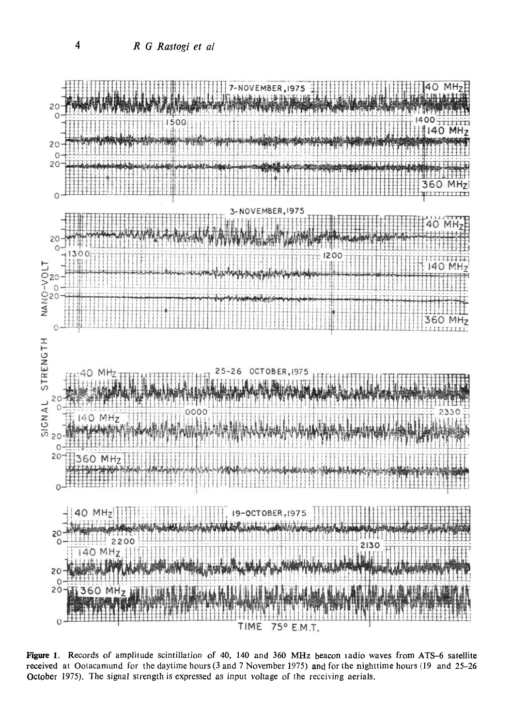

Figure 1. Records of amplitude scintillation of 40, 140 and 360 MHz beacon radio waves from ATS-6 satellite received at Ootacamund for the daytime hours (3 and 7 November 1975) and for the nighttime hours (19 and 25-26 October 1975). The signal strength is expressed as input voltage of the receiving aerials.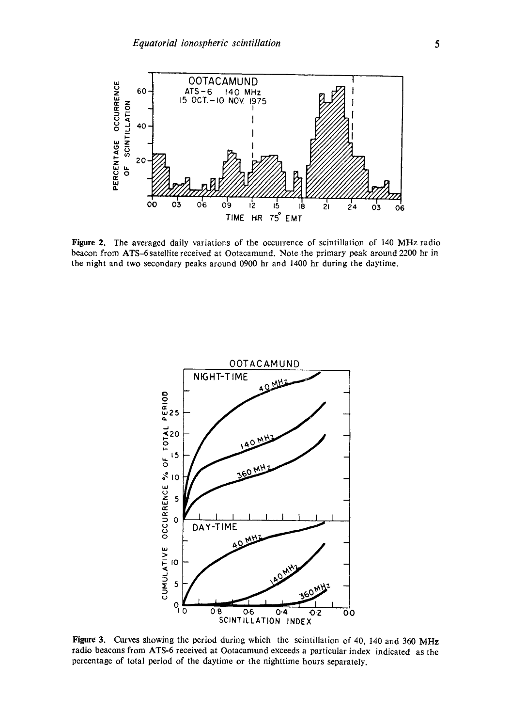

Figure 2. The averaged daily variations of the occurrence of scintillation of 140 MHz radio beacon from ATS-6 satellite received at Ootacamund. Note the primary peak around 2200 hr in the night and two secondary peaks around 0900 hr and 1400 hr during the daytime.



**Figure** 3. Curves showing the period during which the scintillation of 40, 140 and 360 MHz radio beacons from ATS-6 received at Ootacamund exceeds a particular index indicated as the percentage of total period of the daytime or the nighttime hours separately.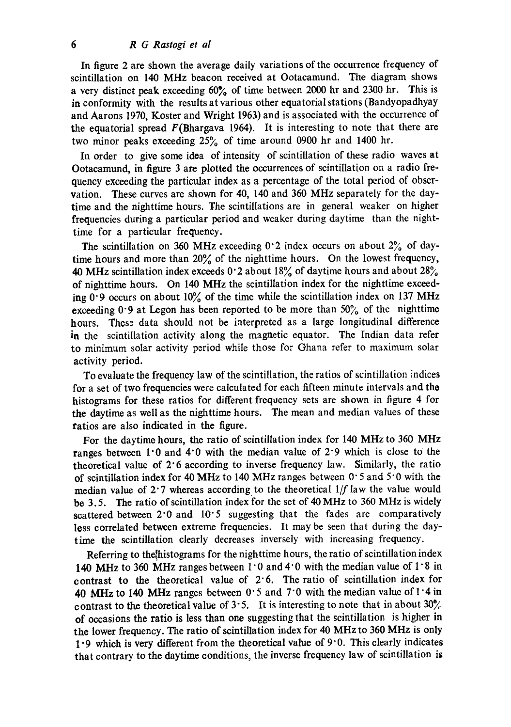In figure 2 are shown the average daily variations of the occurrence frequency of scintillation on 140 MHz beacon received at Ootacamund. The diagram shows a very distinct peak exceeding 60% of time between 2000 hr and 2300 hr. This is in conformity with the results at various other equatorial stations (Bandyopadhyay and Aarons 1970, Koster and Wright 1963) and is associated with the occurrence of the equatorial spread  $F(Bhargava 1964)$ . It is interesting to note that there are two minor peaks exceeding  $25%$  of time around 0900 hr and 1400 hr.

In order to give some idea of intensity of scintillation of these radio waves at Ootacamund, in figure 3 are plotted the occurrences of scintillation on a radio frequency exceeding the particular index as a percentage of the total period of observation. These curves are shown for 40, 140 and 360 MHz separately for the daytime and the nighttime hours. The scintillations are in general weaker on higher frequencies during a particular period and weaker during daytime than the nighttime for a particular frequency.

The scintillation on 360 MHz exceeding  $0.2$  index occurs on about  $2\%$  of daytime hours and more than 20% of the nighttime hours. On the lowest frequency, 40 MHz scintillation index exceeds  $0.2$  about 18% of daytime hours and about 28% of nighttime hours. On 140 MHz the scintillation index for the nighttime exceeding  $0.9$  occurs on about  $10\%$  of the time while the scintillation index on 137 MHz exceeding  $0.9$  at Legon has been reported to be more than  $50\%$  of the nighttime hours. These data should not be interpreted as a large longitudinal difference in the scintillation activity along the magnetic equator. The Indian data refer to minimum solar activity period while those for Ghana refer to maximum solar activity period.

To evaluate the frequency law of the scintillation, the ratios of scintillation indices for a set of two frequencies were calculated for each fifteen minute intervals and the histograms for these ratios for different frequency sets are shown in figure 4 for the daytime as well as the nighttime hours. The mean and median values of these ratios are also indicated in the figure.

For the daytime hours, the ratio of scintillation index for 140 MHz to 360 MHz ranges between  $1.0$  and  $4.0$  with the median value of  $2.9$  which is close to the theoretical value of 2"6 according to inverse frequency law. Similarly, the ratio of scintillation index for 40 MHz to 140 MHz ranges between  $0.5$  and  $5.0$  with the median value of 2.7 whereas according to the theoretical  $1/f$  law the value would be 3.5. The ratio of scintillation index for the set of 40MHz to 360 MHz is widely scattered between  $2.0$  and  $10.5$  suggesting that the fades are comparatively less correlated between extreme frequencies. It may be seen that during the daytime the scintillation clearly decreases inversely with increasing frequency.

Referring to the histograms for the nighttime hours, the ratio of scintillation index 140 MHz to 360 MHz ranges between  $1.0$  and  $4.0$  with the median value of  $1.8$  in contrast to the theoretical value of 2"6. The ratio of scintillation index for 40 MHz to 140 MHz ranges between  $0.5$  and  $7.0$  with the median value of  $1.4$  in contrast to the theoretical value of 3.5. It is interesting to note that in about  $30\%$ of occasions the ratio is less than one suggesting that the scintillation is higher in the lower frequency. The ratio of scintillation index for 40 MHz to 360 MHz is only  $1.9$  which is very different from the theoretical value of  $9.0$ . This clearly indicates that contrary to the daytime conditions, the inverse frequency law of scintillation is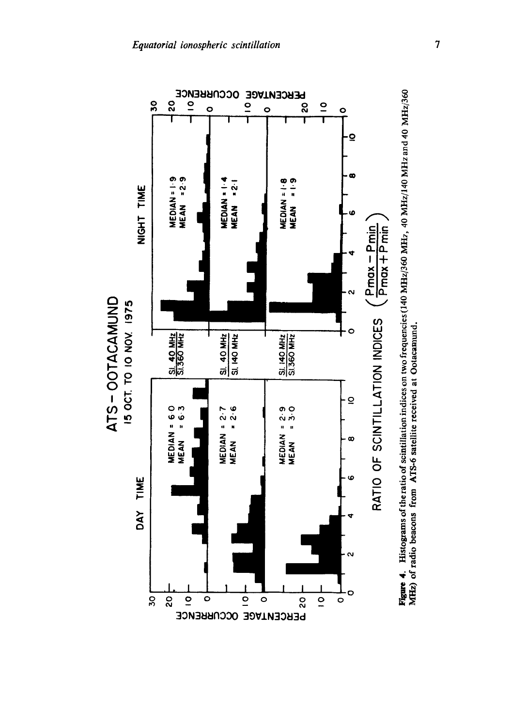

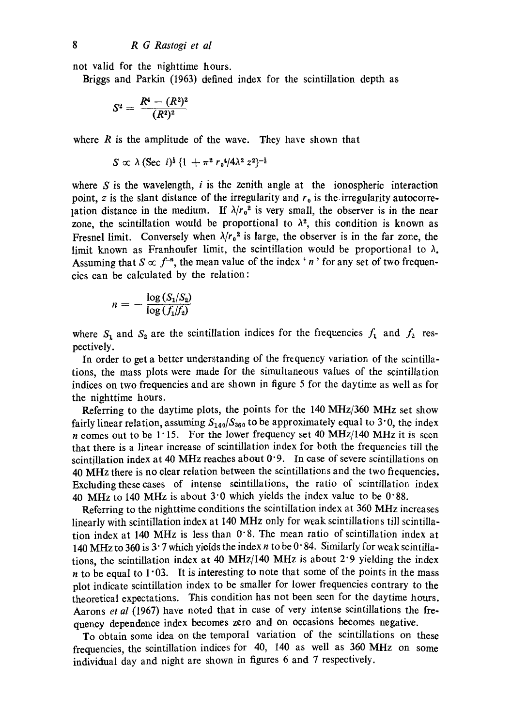not valid for the nighttime hours.

Briggs and Parkin (1963) defined index for the scintillation depth as

$$
S^2 = \frac{R^4 - (R^2)^2}{(R^2)^2}
$$

where  $R$  is the amplitude of the wave. They have shown that

$$
S \propto \lambda \, (\text{Sec } i)^{\frac{1}{2}} \, \{1 + \pi^2 \, r_0^4 / 4\lambda^2 \, z^2\}^{-\frac{1}{2}}
$$

where  $S$  is the wavelength,  $i$  is the zenith angle at the ionospheric interaction point, z is the slant distance of the irregularity and  $r_0$  is the irregularity autocorrelation distance in the medium. If  $\lambda/r_0^2$  is very small, the observer is in the near zone, the scintillation would be proportional to  $\lambda^2$ , this condition is known as Fresnel limit. Conversely when  $\lambda/r_0^2$  is large, the observer is in the far zone, the limit known as Franhoufer limit, the scintillation would be proportional to  $\lambda$ . Assuming that  $S \propto f^{-n}$ , the mean value of the index 'n' for any set of two frequencies can be calculated by the relation:

$$
n=-\frac{\log (S_1/S_2)}{\log (f_1/f_2)}
$$

where  $S_1$  and  $S_2$  are the scintillation indices for the frequencies  $f_1$  and  $f_2$  respectively.

In order to get a better understanding of the frequency variation of the scintillations, the mass plots were made for the simultaneous values of the scintillation indices on two frequencies and are shown in figure 5 for the daytime as well as for the nighttime hours.

Referring to the daytime plots, the points for the 140 MHz/360 MHz set show fairly linear relation, assuming  $S_{140}/S_{860}$  to be approximately equal to 3°0, the index n comes out to be 1.15. For the lower frequency set 40 MHz/140 MHz it is seen that there is a linear increase of scintillation index for both the frequencies till the scintillation index at 40 MHz reaches about  $0.9$ . In case of severe scintillations on 40 MHz there is no clear relation between the scintillations and the two fiequencies. Excluding these cases of intense scintillations, the ratio of scintillation index 40 MHz to 140 MHz is about  $3.0$  which yields the index value to be  $0.88$ .

Referring to the nighttime conditions the scintillation index at 360 MHz increases linearly with scintillation index at 140 MHz only for weak scintillatior.s till scintillation index at 140 MHz is less than 0" 8. The mean ratio of scintillation index at 140 MHz to 360 is 3  $\cdot$  7 which yields the index n to be 0  $\cdot$  84. Similarly for weak scintillations, the scintillation index at 40 MHz/140 MHz is about  $2.9$  yielding the index  $n$  to be equal to 1.03. It is interesting to note that some of the points in the mass plot indicate scintillation index to be smaller for lower frequencies contrary to the theoretical expectations. This condition has not been seen for the daytime hours. Aarons *et al* (1967) have noted that in case of very intense scintillations the fre. quency dependence index becomes zero and on occasions becomes negative.

To obtain some idea on the temporal variation of the scintillations on these frequencies, the scintillation indices for 40, 140 as well as 360 MHz on some individual day and night are shown in figures 6 and 7 respectively.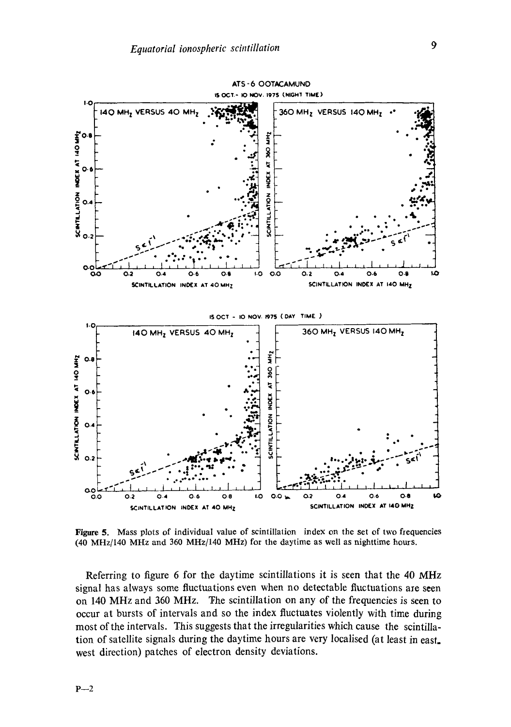

Figure 5. Mass plots of individual value of scintillation index on the set of two frequencies (40 MHz/140 MHz and 360 MHz/140 MHz) for the daytime as well as nighttime hours.

Referring to figure 6 for the daytime scintillations it is seen that the 40 MHz signal has always some fluctuations even when no detectable fluctuations are seen on 140 MHz and 360 MHz. The scintillation on any of the frequencies is seen to occur at bursts of intervals and so the index fluctuates violently with time during most of the intervals. This suggests that the irregularities which cause the scintillation of satellite signals during the daytime hours are very localised (at least in east. west direction) patches of electron density deviations.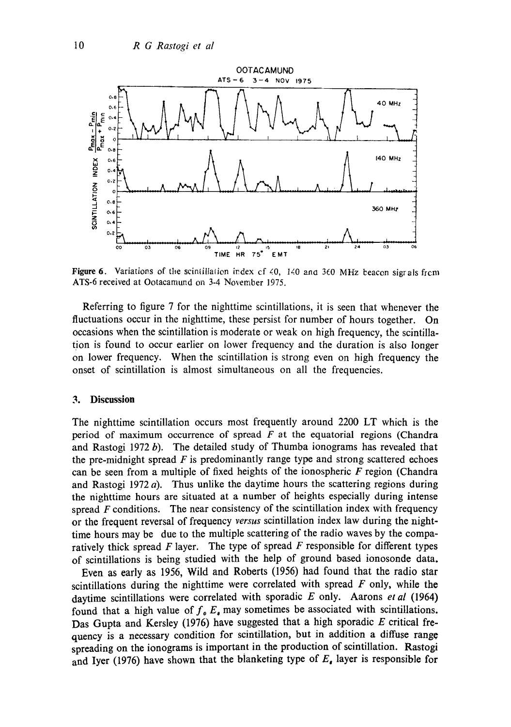

Figure 6. Variations of the scintillation index cf 40, 140 and 360 MHz beacon sigrals from ATS-6 received at Ootacamund on 3-4 November 1975.

Referring to figure 7 for the nighttime scintillations, it is seen that whenever the fluctuations occur in the nighttime, these persist for number of hours together. On occasions when the scintillation is moderate or weak on high frequency, the scintillation is found to occur earlier on lower frequency and the duration is also longer on lower frequency. When the scintillation is strong even on high frequency the onset of scintillation is almost simultaneous on all the frequencies.

#### **3. Discussion**

The nighttime scintillation occurs most frequently around 2200 LT which is the period of maximum occurrence of spread  $F$  at the equatorial regions (Chandra and Rastogi 1972 b). The detailed study of Thumba ionograms has revealed that the pre-midnight spread  $F$  is predominantly range type and strong scattered echoes can be seen from a multiple of fixed heights of the ionospheric  $F$  region (Chandra and Rastogi 1972  $a$ ). Thus unlike the daytime hours the scattering regions during the nighttime hours are situated at a number of heights especially during intense spread  $F$  conditions. The near consistency of the scintillation index with frequency or the frequent reversal of frequency *versus* scintillation index law during the nighttime hours may be due to the multiple scattering of the radio waves by the comparatively thick spread  $F$  layer. The type of spread  $F$  responsible for different types of scintillations is being studied with the help of ground based ionosonde data.

Even as early as 1956, Wild and Roberts (1956) had found that the radio star scintillations during the nighttime were correlated with spread  $F$  only, while the daytime scintillations were correlated with sporadic E only. Aarons *et al* (1964) found that a high value of  $f_0 E_0$  may sometimes be associated with scintillations. Das Gupta and Kersley (1976) have suggested that a high sporadic E critical frequency is a necessary condition for scintillation, but in addition a diffuse range spreading on the ionograms is important in the production of scintillation. Rastogi and Iyer (1976) have shown that the blanketing type of  $E<sub>e</sub>$  layer is responsible for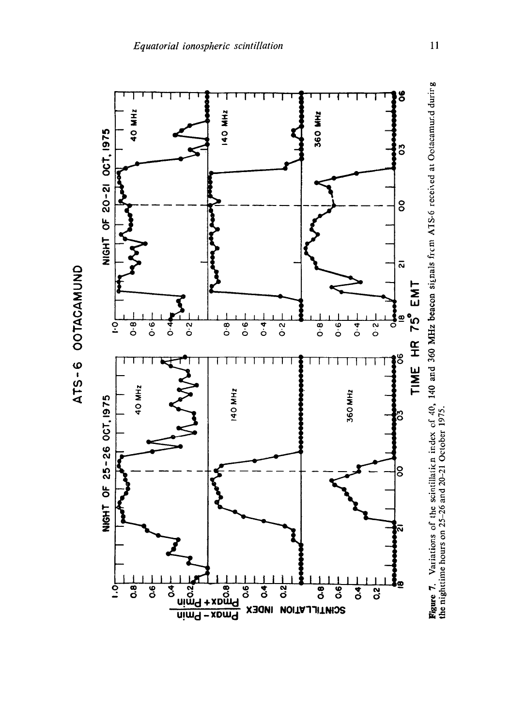

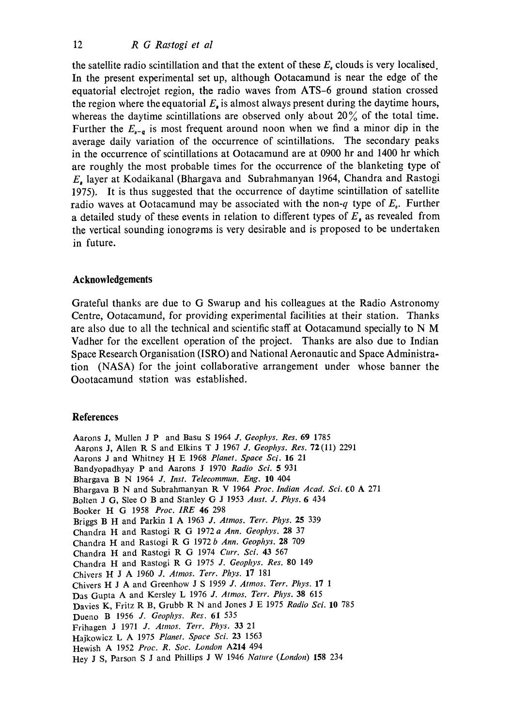the satellite radio scintillation and that the extent of these  $E_s$  clouds is very localised. In the present experimental set up, although Ootacamund is near the edge of the equatorial electrojet region, the radio waves from ATS-6 ground station crossed the region where the equatorial *E,* is almost always present during the daytime hours, whereas the daytime scintillations are observed only about 20% of the total time. Further the  $E_{s-q}$  is most frequent around noon when we find a minor dip in the average daily variation of the occurrence of scintillations. The secondary peaks in the occurrence of scintillations at Ootacamund are at 0900 hr and 1400 hr which are roughly the most probable times for the occurrence of the blanketing type of E, layer at Kodaikanal (Bhargava and Subrahmanyan 1964, Chandra and Rastogi 1975). It is thus suggested that the occurrence of daytime scintillation of satellite radio waves at Ootacamund may be associated with the non-q type of  $E<sub>s</sub>$ . Further a detailed study of these events in relation to different types of  $E<sub>s</sub>$  as revealed from the vertical sounding ionograms is very desirable and is proposed to be undertaken in future.

## **Acknowledgements**

Grateful thanks are due to G Swarup and his colleagues at the Radio Astronomy Centre, Ootacamund, for providing experimental facilities at their station. Thanks are also due to all the technical and scientific staff at Ootacamund specially to N M Vadher for the excellent operation of the project. Thanks are also due to Indian Space Research Organisation (ISRO) and National Aeronautic and Space Administration (NASA) for the joint collaborative arrangement under whose banner the Oootacarnund station was established.

### **References**

Aarons J, Mullen J P and Basu S 1964 *J. Geophys. Res.* 69 1785 Aarons J, Allen R S and Elkins T J 1967 *J. Geophys. Res.* 72(11) 2291 Aarons J and Whitney H E 1968 *Planet. Space Sci.* 16 21 Bandyopadhyay P and Aarons J 1970 *Radio Sci.* 5 931 Bhargava B N 1964 *J. Inst. Telecommun. Eng.* 10 404 Bhargava B N and Subrahmanyan R V 1964 *Proc. Indian Acad. Sci.*  $\epsilon$ 0 A 271 Bolten J G, Slee O B and Stanley G J 1953 *Aust. J. Phys.* 6 434 Booker H G 1958 *Proc. IRE* 46 298 Briggs B H and Parkin I A 1963 *J. Atmos. Terr. Phys.* 25 339 Chandra H and Rastogi R G 1972 *a Ann. Geophys.* 28 37 Chandra H and Rastogi R G 1972 *b Ann. Geophys.* 28 709 Chandra H and Rastogi R G 1974 Curr. Sci. 43 567 Chandra H and Rastogi R G 1975 *J. Geophys. Res.* 80 149 Chivers /4 J A 1960 *J. Atmos. Terr. Phys.* 17 181 Chivers H J A and Greenhow J S 1959 *J. Atmos. Terr. Phys.* 17 1 Das Gupta A and Kersley L 1976 *J. Atmos. Terr. Phys.* 38 615 Davies K, Fritz R B, Grubb R N and Jones J E 1975 *Radio Sci.* 10 785 Dueno B 1956 *J. Geophys. Res.* 61 535 Frihagen J 1971 *J. Atmos. Terr. Phys.* 33 21 Hajkowicz L A 1975 *Planet. Space Sci.* 23 1563 Hewish A 1952 *Proc. R. Soc. London* A214 494 Hey J S, Parson S J and Phillips J W 1946 *Nature (London)* 158 234